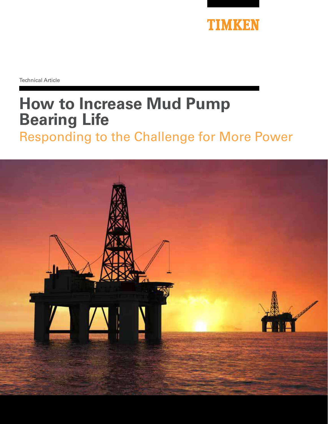

Technical Article

# **How to Increase Mud Pump Bearing Life**  Responding to the Challenge for More Power

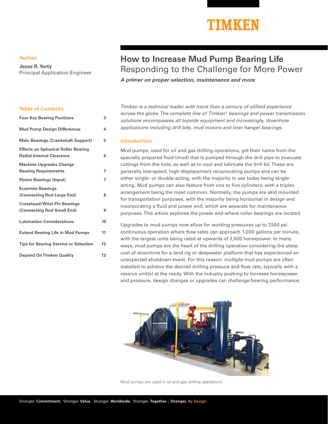## TIMKEN

#### **Author**

**Jesse R. Yorty**  Principal Application Engineer

#### **Table of Contents**

| <b>Four Key Bearing Positions</b>                                              | 3  |
|--------------------------------------------------------------------------------|----|
| <b>Mud Pump Design Differences</b>                                             | 4  |
| <b>Main Bearings (Crankshaft Support)</b>                                      | 5  |
| <b>Effects on Spherical Roller Bearing</b><br><b>Radial Internal Clearance</b> | 6  |
| <b>Machine Upgrades Change</b>                                                 |    |
| <b>Bearing Requirements</b>                                                    | 7  |
| <b>Pinion Bearings (Input)</b>                                                 | 7  |
| <b>Eccentric Bearings</b>                                                      |    |
| (Connecting Rod Large End)                                                     | 8  |
| <b>Crosshead/Wrist Pin Bearings</b>                                            |    |
| (Connecting Rod Small End)                                                     | 9  |
| <b>Lubrication Considerations</b>                                              | 10 |
| <b>Extend Bearing Life in Mud Pumps</b>                                        | 11 |
| <b>Tips for Bearing Service or Selection</b>                                   | 12 |
| <b>Depend On Timken Quality</b>                                                | 12 |

### **How to Increase Mud Pump Bearing Life** Responding to the Challenge for More Power

**A primer on proper selection, maintenance and more**

Timken is a technical leader with more than a century of oilfield experience across the globe. The complete line of Timken<sup>®</sup> bearings and power transmission solutions encompasses all topside equipment and increasingly, downhole applications including drill bits, mud motors and liner hanger bearings.

#### **Introduction**

Mud pumps, used for oil and gas drilling operations, get their name from the specially prepared fluid (mud) that is pumped through the drill pipe to evacuate cuttings from the hole, as well as to cool and lubricate the drill bit. These are generally low-speed, high-displacement reciprocating pumps and can be either single- or double-acting, with the majority in use today being singleacting. Mud pumps can also feature from one to five cylinders, with a triplex arrangement being the most common. Normally, the pumps are skid mounted for transportation purposes, with the majority being horizontal in design and incorporating a fluid and power end, which are separate for maintenance purposes. This article explores the power end where roller bearings are located.

Upgrades to mud pumps now allow for working pressures up to 7,500 psi continuous operation where flow rates can approach 1,000 gallons per minute, with the largest units being rated at upwards of 3,000 horsepower. In many ways, mud pumps are the heart of the drilling operation considering the steep cost of downtime for a land rig or deepwater platform that has experienced an unexpected shutdown event. For this reason, multiple mud pumps are often installed to achieve the desired drilling pressure and flow rate, typically with a reserve unit(s) at the ready. With the industry pushing to increase horsepower and pressure, design changes or upgrades can challenge bearing performance.



Mud pumps are used in oil and gas drilling operations.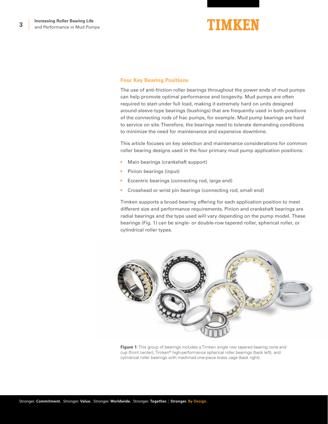

#### **Four Key Bearing Positions**

The use of anti-friction roller bearings throughout the power ends of mud pumps can help promote optimal performance and longevity. Mud pumps are often required to start under full load, making it extremely hard on units designed around sleeve-type bearings (bushings) that are frequently used in both positions of the connecting rods of frac pumps, for example. Mud pump bearings are hard to service on site. Therefore, the bearings need to tolerate demanding conditions to minimize the need for maintenance and expensive downtime.

This article focuses on key selection and maintenance considerations for common roller bearing designs used in the four primary mud pump application positions:

- Main bearings (crankshaft support)
- Pinion bearings (input)
- Eccentric bearings (connecting rod, large end)
- Crosshead or wrist pin bearings (connecting rod, small end)

Timken supports a broad bearing offering for each application position to meet different size and performance requirements. Pinion and crankshaft bearings are radial bearings and the type used will vary depending on the pump model. These bearings (Fig. 1) can be single- or double-row tapered roller, spherical roller, or cylindrical roller types.



**Figure 1**: This group of bearings includes a Timken single row tapered bearing cone and cup (front center), Timken® high-performance spherical roller bearings (back left), and cylindrical roller bearings with machined one-piece brass cage (back right).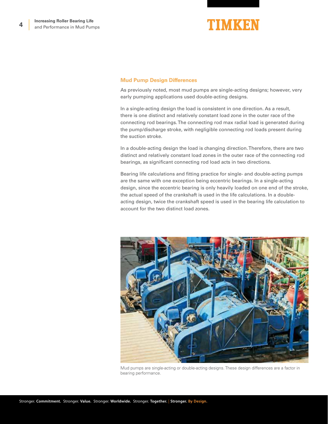

#### **Mud Pump Design Differences**

As previously noted, most mud pumps are single-acting designs; however, very early pumping applications used double-acting designs.

In a single-acting design the load is consistent in one direction. As a result, there is one distinct and relatively constant load zone in the outer race of the connecting rod bearings. The connecting rod max radial load is generated during the pump/discharge stroke, with negligible connecting rod loads present during the suction stroke.

In a double-acting design the load is changing direction. Therefore, there are two distinct and relatively constant load zones in the outer race of the connecting rod bearings, as significant connecting rod load acts in two directions.

Bearing life calculations and fitting practice for single- and double-acting pumps are the same with one exception being eccentric bearings. In a single-acting design, since the eccentric bearing is only heavily loaded on one end of the stroke, the actual speed of the crankshaft is used in the life calculations. In a doubleacting design, twice the crankshaft speed is used in the bearing life calculation to account for the two distinct load zones.



Mud pumps are single-acting or double-acting designs. These design differences are a factor in bearing performance.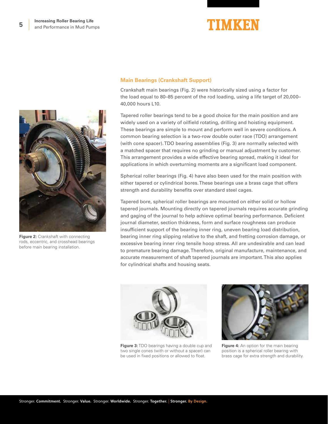



**Figure 2:** Crankshaft with connecting rods, eccentric, and crosshead bearings before main bearing installation.

#### **Main Bearings (Crankshaft Support)**

Crankshaft main bearings (Fig. 2) were historically sized using a factor for the load equal to 80–85 percent of the rod loading, using a life target of 20,000– 40,000 hours L10.

Tapered roller bearings tend to be a good choice for the main position and are widely used on a variety of oilfield rotating, drilling and hoisting equipment. These bearings are simple to mount and perform well in severe conditions. A common bearing selection is a two-row double outer race (TDO) arrangement (with cone spacer). TDO bearing assemblies (Fig. 3) are normally selected with a matched spacer that requires no grinding or manual adjustment by customer. This arrangement provides a wide effective bearing spread, making it ideal for applications in which overturning moments are a significant load component.

Spherical roller bearings (Fig. 4) have also been used for the main position with either tapered or cylindrical bores. These bearings use a brass cage that offers strength and durability benefits over standard steel cages.

Tapered bore, spherical roller bearings are mounted on either solid or hollow tapered journals. Mounting directly on tapered journals requires accurate grinding and gaging of the journal to help achieve optimal bearing performance. Deficient journal diameter, section thickness, form and surface roughness can produce insufficient support of the bearing inner ring, uneven bearing load distribution, bearing inner ring slipping relative to the shaft, and fretting corrosion damage, or excessive bearing inner ring tensile hoop stress. All are undesirable and can lead to premature bearing damage. Therefore, original manufacture, maintenance, and accurate measurement of shaft tapered journals are important. This also applies for cylindrical shafts and housing seats.



**Figure 3:** TDO bearings having a double cup and two single cones (with or without a spacer) can be used in fixed positions or allowed to float.



**Figure 4:** An option for the main bearing position is a spherical roller bearing with brass cage for extra strength and durability.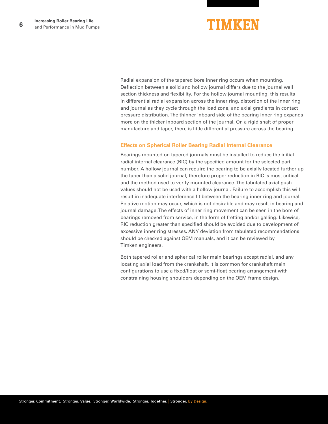## TIMKEN

Radial expansion of the tapered bore inner ring occurs when mounting. Deflection between a solid and hollow journal differs due to the journal wall section thickness and flexibility. For the hollow journal mounting, this results in differential radial expansion across the inner ring, distortion of the inner ring and journal as they cycle through the load zone, and axial gradients in contact pressure distribution. The thinner inboard side of the bearing inner ring expands more on the thicker inboard section of the journal. On a rigid shaft of proper manufacture and taper, there is little differential pressure across the bearing.

#### **Effects on Spherical Roller Bearing Radial Internal Clearance**

Bearings mounted on tapered journals must be installed to reduce the initial radial internal clearance (RIC) by the specified amount for the selected part number. A hollow journal can require the bearing to be axially located further up the taper than a solid journal, therefore proper reduction in RIC is most critical and the method used to verify mounted clearance. The tabulated axial push values should not be used with a hollow journal. Failure to accomplish this will result in inadequate interference fit between the bearing inner ring and journal. Relative motion may occur, which is not desirable and may result in bearing and journal damage. The effects of inner ring movement can be seen in the bore of bearings removed from service, in the form of fretting and/or galling. Likewise, RIC reduction greater than specified should be avoided due to development of excessive inner ring stresses. ANY deviation from tabulated recommendations should be checked against OEM manuals, and it can be reviewed by Timken engineers.

Both tapered roller and spherical roller main bearings accept radial, and any locating axial load from the crankshaft. It is common for crankshaft main configurations to use a fixed/float or semi-float bearing arrangement with constraining housing shoulders depending on the OEM frame design.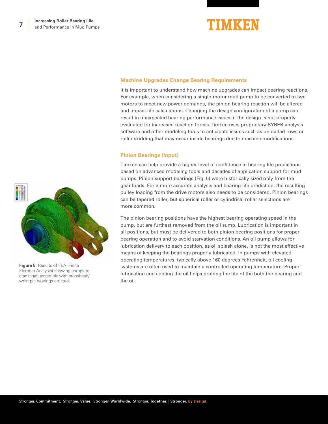

#### **Machine Upgrades Change Bearing Requirements**

It is important to understand how machine upgrades can impact bearing reactions. For example, when considering a single-motor mud pump to be converted to two motors to meet new power demands, the pinion bearing reaction will be altered and impact life calculations. Changing the design configuration of a pump can result in unexpected bearing performance issues if the design is not properly evaluated for increased reaction forces. Timken uses proprietary SYBER analysis software and other modeling tools to anticipate issues such as unloaded rows or roller skidding that may occur inside bearings due to machine modifications.

#### **Pinion Bearings (Input)**

Timken can help provide a higher level of confidence in bearing life predictions based on advanced modeling tools and decades of application support for mud pumps. Pinion support bearings (Fig. 5) were historically sized only from the gear loads. For a more accurate analysis and bearing life prediction, the resulting pulley loading from the drive motors also needs to be considered. Pinion bearings can be tapered roller, but spherical roller or cylindrical roller selections are more common.

The pinion bearing positions have the highest bearing operating speed in the pump, but are furthest removed from the oil sump. Lubrication is important in all positions, but must be delivered to both pinion bearing positions for proper bearing operation and to avoid starvation conditions. An oil pump allows for lubrication delivery to each position, as oil splash alone, is not the most effective means of keeping the bearings properly lubricated. In pumps with elevated operating temperatures, typically above 160 degrees Fahrenheit, oil cooling systems are often used to maintain a controlled operating temperature. Proper lubrication and cooling the oil helps prolong the life of the both the bearing and the oil.



**Figure 5**: Results of FEA (Finite Element Analysis) showing complete crankshaft assembly with crosshead/ wrist pin bearings omitted.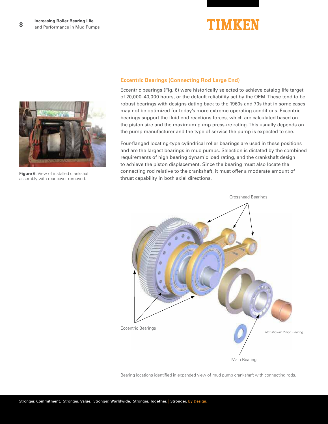



**Figure 6**: View of installed crankshaft assembly with rear cover removed.

#### **Eccentric Bearings (Connecting Rod Large End)**

Eccentric bearings (Fig. 6) were historically selected to achieve catalog life target of 20,000–40,000 hours, or the default reliability set by the OEM. These tend to be robust bearings with designs dating back to the 1960s and 70s that in some cases may not be optimized for today's more extreme operating conditions. Eccentric bearings support the fluid end reactions forces, which are calculated based on the piston size and the maximum pump pressure rating. This usually depends on the pump manufacturer and the type of service the pump is expected to see.

Four-flanged locating-type cylindrical roller bearings are used in these positions and are the largest bearings in mud pumps. Selection is dictated by the combined requirements of high bearing dynamic load rating, and the crankshaft design to achieve the piston displacement. Since the bearing must also locate the connecting rod relative to the crankshaft, it must offer a moderate amount of thrust capability in both axial directions.



Bearing locations identified in expanded view of mud pump crankshaft with connecting rods.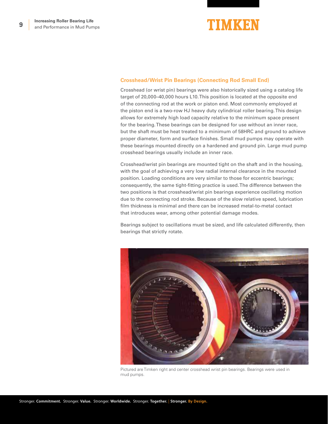

#### **Crosshead/Wrist Pin Bearings (Connecting Rod Small End)**

Crosshead (or wrist pin) bearings were also historically sized using a catalog life target of 20,000–40,000 hours L10. This position is located at the opposite end of the connecting rod at the work or piston end. Most commonly employed at the piston end is a two-row HJ heavy duty cylindrical roller bearing. This design allows for extremely high load capacity relative to the minimum space present for the bearing. These bearings can be designed for use without an inner race, but the shaft must be heat treated to a minimum of 58HRC and ground to achieve proper diameter, form and surface finishes. Small mud pumps may operate with these bearings mounted directly on a hardened and ground pin. Large mud pump crosshead bearings usually include an inner race.

Crosshead/wrist pin bearings are mounted tight on the shaft and in the housing, with the goal of achieving a very low radial internal clearance in the mounted position. Loading conditions are very similar to those for eccentric bearings; consequently, the same tight-fitting practice is used. The difference between the two positions is that crosshead/wrist pin bearings experience oscillating motion due to the connecting rod stroke. Because of the slow relative speed, lubrication film thickness is minimal and there can be increased metal-to-metal contact that introduces wear, among other potential damage modes.

Bearings subject to oscillations must be sized, and life calculated differently, then bearings that strictly rotate.



Pictured are Timken right and center crosshead wrist pin bearings. Bearings were used in mud pumps.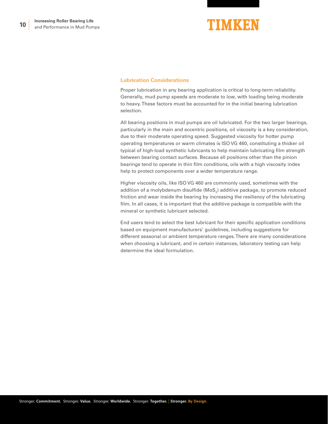

#### **Lubrication Considerations**

Proper lubrication in any bearing application is critical to long-term reliability. Generally, mud pump speeds are moderate to low, with loading being moderate to heavy. These factors must be accounted for in the initial bearing lubrication selection.

All bearing positions in mud pumps are oil lubricated. For the two larger bearings, particularly in the main and eccentric positions, oil viscosity is a key consideration, due to their moderate operating speed. Suggested viscosity for hotter pump operating temperatures or warm climates is ISO VG 460, constituting a thicker oil typical of high-load synthetic lubricants to help maintain lubricating film strength between bearing contact surfaces. Because all positions other than the pinion bearings tend to operate in thin film conditions, oils with a high viscosity index help to protect components over a wider temperature range.

Higher viscosity oils, like ISO VG 460 are commonly used, sometimes with the addition of a molybdenum disulfide (MoS $_{\textrm{\scriptsize2}}$ ) additive package, to promote reduced friction and wear inside the bearing by increasing the resiliency of the lubricating film. In all cases, it is important that the additive package is compatible with the mineral or synthetic lubricant selected.

End users tend to select the best lubricant for their specific application conditions based on equipment manufacturers' guidelines, including suggestions for different seasonal or ambient temperature ranges. There are many considerations when choosing a lubricant, and in certain instances, laboratory testing can help determine the ideal formulation.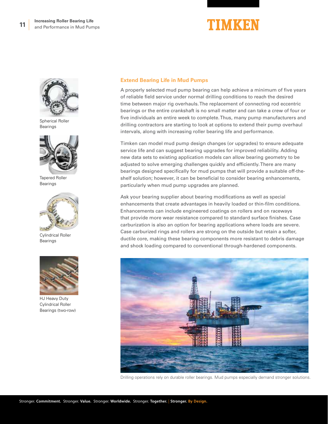## TIMKEN



Spherical Roller Bearings



Tapered Roller Bearings



Cylindrical Roller Bearings



HJ Heavy Duty Cylindrical Roller Bearings (two-row)

#### **Extend Bearing Life in Mud Pumps**

A properly selected mud pump bearing can help achieve a minimum of five years of reliable field service under normal drilling conditions to reach the desired time between major rig overhauls. The replacement of connecting rod eccentric bearings or the entire crankshaft is no small matter and can take a crew of four or five individuals an entire week to complete. Thus, many pump manufacturers and drilling contractors are starting to look at options to extend their pump overhaul intervals, along with increasing roller bearing life and performance.

Timken can model mud pump design changes (or upgrades) to ensure adequate service life and can suggest bearing upgrades for improved reliability. Adding new data sets to existing application models can allow bearing geometry to be adjusted to solve emerging challenges quickly and efficiently. There are many bearings designed specifically for mud pumps that will provide a suitable off-theshelf solution; however, it can be beneficial to consider bearing enhancements, particularly when mud pump upgrades are planned.

Ask your bearing supplier about bearing modifications as well as special enhancements that create advantages in heavily loaded or thin-film conditions. Enhancements can include engineered coatings on rollers and on raceways that provide more wear resistance compared to standard surface finishes. Case carburization is also an option for bearing applications where loads are severe. Case carburized rings and rollers are strong on the outside but retain a softer, ductile core, making these bearing components more resistant to debris damage and shock loading compared to conventional through-hardened components.



Drilling operations rely on durable roller bearings. Mud pumps especially demand stronger solutions.